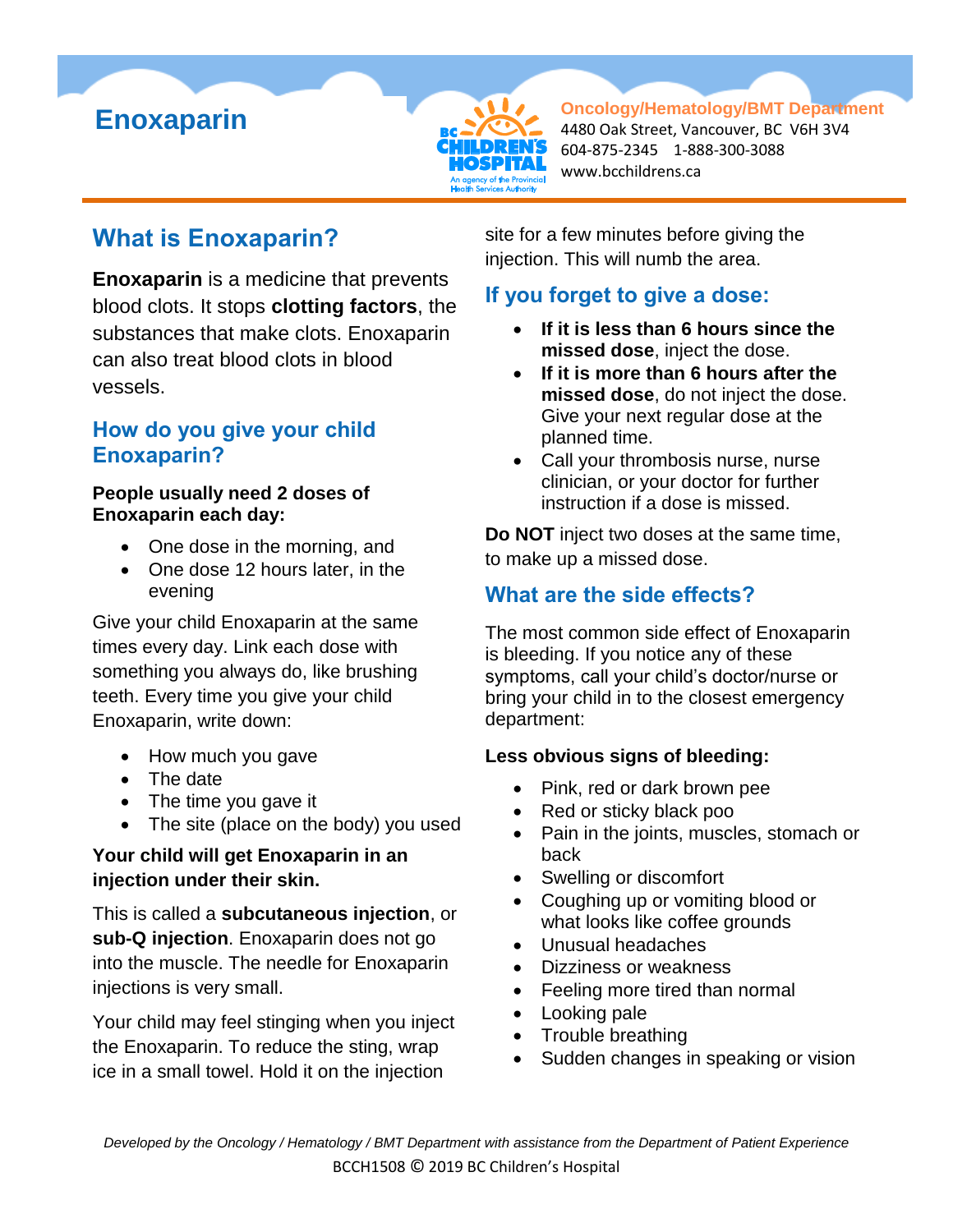



**Oncology/Hematology/BMT Department** 4480 Oak Street, Vancouver, BC V6H 3V4 604-875-2345 1-888-300-3088 www.bcchildrens.ca

# **What is Enoxaparin?**

**Enoxaparin** is a medicine that prevents blood clots. It stops **clotting factors**, the substances that make clots. Enoxaparin can also treat blood clots in blood vessels.

## **How do you give your child Enoxaparin?**

#### **People usually need 2 doses of Enoxaparin each day:**

- One dose in the morning, and
- One dose 12 hours later, in the evening

Give your child Enoxaparin at the same times every day. Link each dose with something you always do, like brushing teeth. Every time you give your child Enoxaparin, write down:

- How much you gave
- The date
- The time you gave it
- The site (place on the body) you used

#### **Your child will get Enoxaparin in an injection under their skin.**

This is called a **subcutaneous injection**, or **sub-Q injection**. Enoxaparin does not go into the muscle. The needle for Enoxaparin injections is very small.

Your child may feel stinging when you inject the Enoxaparin. To reduce the sting, wrap ice in a small towel. Hold it on the injection

site for a few minutes before giving the injection. This will numb the area.

## **If you forget to give a dose:**

- **If it is less than 6 hours since the missed dose**, inject the dose.
- **If it is more than 6 hours after the missed dose**, do not inject the dose. Give your next regular dose at the planned time.
- Call your thrombosis nurse, nurse clinician, or your doctor for further instruction if a dose is missed.

**Do NOT** inject two doses at the same time, to make up a missed dose.

## **What are the side effects?**

The most common side effect of Enoxaparin is bleeding. If you notice any of these symptoms, call your child's doctor/nurse or bring your child in to the closest emergency department:

#### **Less obvious signs of bleeding:**

- Pink, red or dark brown pee
- Red or sticky black poo
- Pain in the joints, muscles, stomach or back
- Swelling or discomfort
- Coughing up or vomiting blood or what looks like coffee grounds
- Unusual headaches
- Dizziness or weakness
- Feeling more tired than normal
- Looking pale
- Trouble breathing
- Sudden changes in speaking or vision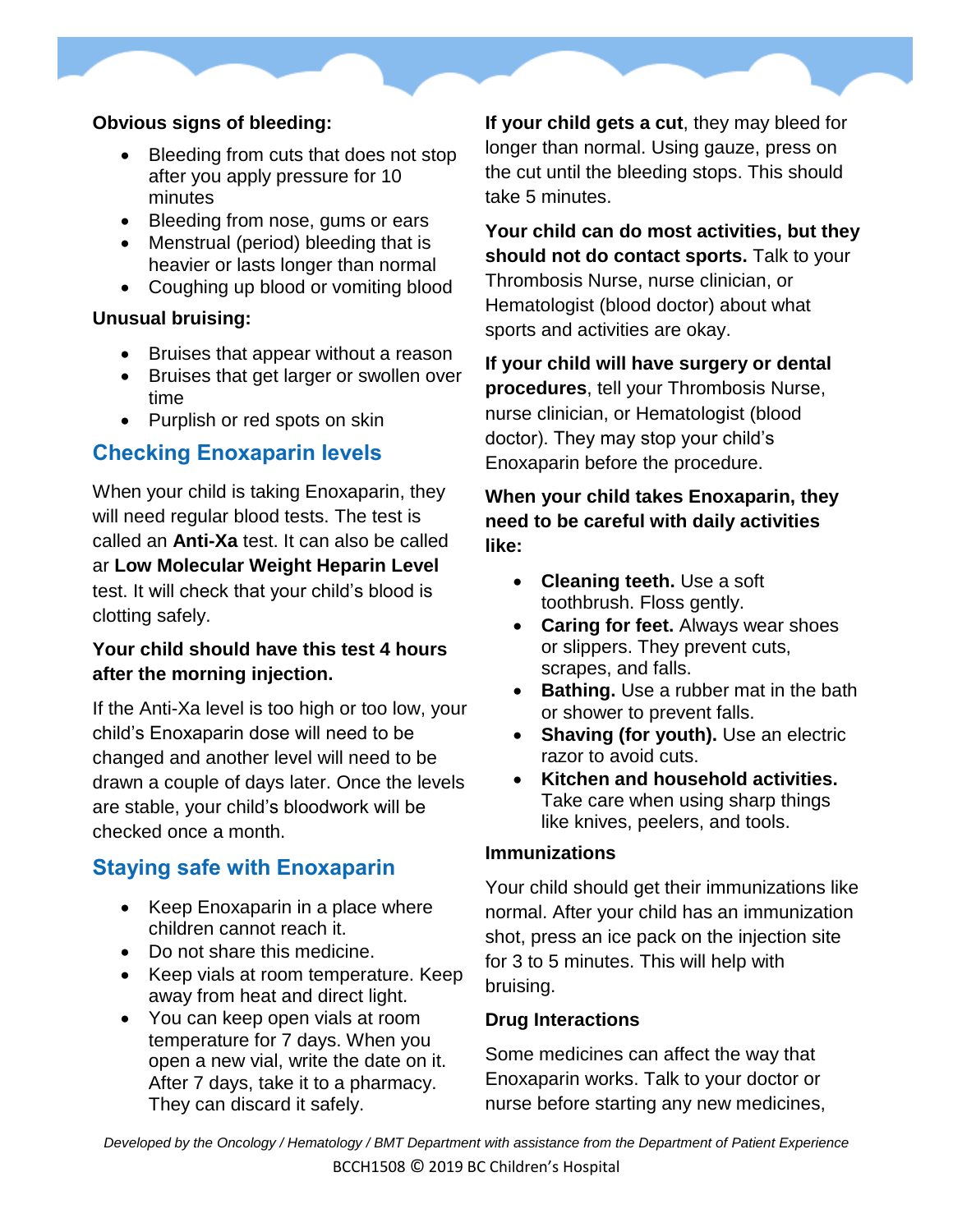#### **Obvious signs of bleeding:**

- Bleeding from cuts that does not stop after you apply pressure for 10 minutes
- Bleeding from nose, gums or ears
- Menstrual (period) bleeding that is heavier or lasts longer than normal
- Coughing up blood or vomiting blood

#### **Unusual bruising:**

- Bruises that appear without a reason
- Bruises that get larger or swollen over time
- Purplish or red spots on skin

## **Checking Enoxaparin levels**

When your child is taking Enoxaparin, they will need regular blood tests. The test is called an **Anti-Xa** test. It can also be called ar **Low Molecular Weight Heparin Level** test. It will check that your child's blood is clotting safely.

#### **Your child should have this test 4 hours after the morning injection.**

If the Anti-Xa level is too high or too low, your child's Enoxaparin dose will need to be changed and another level will need to be drawn a couple of days later. Once the levels are stable, your child's bloodwork will be checked once a month.

## **Staying safe with Enoxaparin**

- Keep Enoxaparin in a place where children cannot reach it.
- Do not share this medicine.
- Keep vials at room temperature. Keep away from heat and direct light.
- You can keep open vials at room temperature for 7 days. When you open a new vial, write the date on it. After 7 days, take it to a pharmacy. They can discard it safely.

**If your child gets a cut**, they may bleed for longer than normal. Using gauze, press on the cut until the bleeding stops. This should take 5 minutes.

**Your child can do most activities, but they should not do contact sports.** Talk to your Thrombosis Nurse, nurse clinician, or Hematologist (blood doctor) about what sports and activities are okay.

**If your child will have surgery or dental procedures**, tell your Thrombosis Nurse, nurse clinician, or Hematologist (blood doctor). They may stop your child's Enoxaparin before the procedure.

**When your child takes Enoxaparin, they need to be careful with daily activities like:**

- **Cleaning teeth.** Use a soft toothbrush. Floss gently.
- **Caring for feet.** Always wear shoes or slippers. They prevent cuts, scrapes, and falls.
- **Bathing.** Use a rubber mat in the bath or shower to prevent falls.
- **Shaving (for youth).** Use an electric razor to avoid cuts.
- **Kitchen and household activities.** Take care when using sharp things like knives, peelers, and tools.

#### **Immunizations**

Your child should get their immunizations like normal. After your child has an immunization shot, press an ice pack on the injection site for 3 to 5 minutes. This will help with bruising.

#### **Drug Interactions**

Some medicines can affect the way that Enoxaparin works. Talk to your doctor or nurse before starting any new medicines,

*Developed by the Oncology / Hematology / BMT Department with assistance from the Department of Patient Experience* BCCH1508 © 2019 BC Children's Hospital